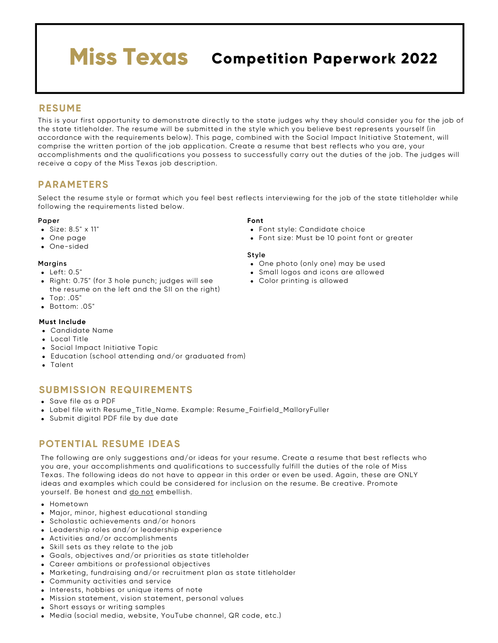# **Miss Texas** Competition Paperwork 2022

## **RESUME**

This is your first opportunity to demonstrate directly to the state judges why they should consider you for the job of the state titleholder. The resume will be submitted in the style which you believe best represents yourself (in accordance with the requirements below). This page, combined with the Social Impact Initiative Statement, will comprise the written portion of the job application. Create a resume that best reflects who you are, your accomplishments and the qualifications you possess to successfully carry out the duties of the job. The judges will receive a copy of the Miss Texas job description.

## **PARAMETERS**

Select the resume style or format which you feel best reflects interviewing for the job of the state titleholder while following the requirements listed below.

#### **Paper**

- Size: 8.5" x 11"
- One page
- One-sided

#### **Margins**

- $\bullet$  Left:  $0.5"$
- Right: 0.75" (for 3 hole punch; judges will see the resume on the left and the SII on the right)
- Top: .05"
- Bottom: .05"

#### **Must Include**

- Candidate Name
- Local Title
- Social Impact Initiative Topic
- Education (school attending and/or graduated from)
- Talent

## **SUBMISSION REQUIREMENTS**

- Save file as a PDF
- Label file with Resume\_Title\_Name. Example: Resume\_Fairfield\_MalloryFuller
- Submit digital PDF file by due date

## **POTENTIAL RESUME IDEAS**

The following are only suggestions and/or ideas for your resume. Create a resume that best reflects who you are, your accomplishments and qualifications to successfully fulfill the duties of the role of Miss Texas. The following ideas do not have to appear in this order or even be used. Again, these are ONLY ideas and examples which could be considered for inclusion on the resume. Be creative. Promote yourself. Be honest and do not embellish.

- Hometown
- Major, minor, highest educational standing
- Scholastic achievements and/or honors
- Leadership roles and/or leadership experience
- Activities and/or accomplishments
- Skill sets as they relate to the job
- Goals, objectives and/or priorities as state titleholder
- Career ambitions or professional objectives
- Marketing, fundraising and/or recruitment plan as state titleholder
- Community activities and service
- Interests, hobbies or unique items of note
- Mission statement, vision statement, personal values
- Short essays or writing samples
- Media (social media, website, YouTube channel, QR code, etc.)

#### **Font**

- Font style: Candidate choice
- Font size: Must be 10 point font or greater

#### **Style**

- One photo (only one) may be used
- Small logos and icons are allowed
- Color printing is allowed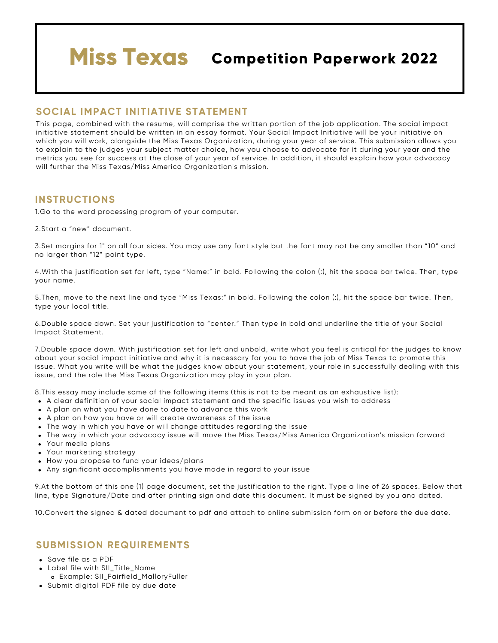## **Miss Texas** Competition Paperwork 2022

## **SOCIAL IMPACT INITIATIVE STATEMENT**

This page, combined with the resume, will comprise the written portion of the job application. The social impact initiative statement should be written in an essay format. Your Social Impact Initiative will be your initiative on which you will work, alongside the Miss Texas Organization, during your year of service. This submission allows you to explain to the judges your subject matter choice, how you choose to advocate for it during your year and the metrics you see for success at the close of your year of service. In addition, it should explain how your advocacy will further the Miss Texas/Miss America Organization's mission.

## **INSTRUCTIONS**

1.Go to the word processing program of your computer.

2.Start a "new" document.

3.Set margins for 1" on all four sides. You may use any font style but the font may not be any smaller than "10" and no larger than "12" point type.

4.With the justification set for left, type "Name:" in bold. Following the colon (:), hit the space bar twice. Then, type your name.

5.Then, move to the next line and type "Miss Texas:" in bold. Following the colon (:), hit the space bar twice. Then, type your local title.

6.Double space down. Set your justification to "center." Then type in bold and underline the title of your Social Impact Statement.

7.Double space down. With justification set for left and unbold, write what you feel is critical for the judges to know about your social impact initiative and why it is necessary for you to have the job of Miss Texas to promote this issue. What you write will be what the judges know about your statement, your role in successfully dealing with this issue, and the role the Miss Texas Organization may play in your plan.

8.This essay may include some of the following items (this is not to be meant as an exhaustive list):

- A clear definition of your social impact statement and the specific issues you wish to address
- A plan on what you have done to date to advance this work
- A plan on how you have or will create awareness of the issue
- The way in which you have or will change attitudes regarding the issue
- The way in which your advocacy issue will move the Miss Texas/Miss America Organization's mission forward
- Your media plans
- Your marketing strategy
- How you propose to fund your ideas/plans
- Any significant accomplishments you have made in regard to your issue

9.At the bottom of this one (1) page document, set the justification to the right. Type a line of 26 spaces. Below that line, type Signature/Date and after printing sign and date this document. It must be signed by you and dated.

10.Convert the signed & dated document to pdf and attach to online submission form on or before the due date.

## **SUBMISSION REQUIREMENTS**

- Save file as a PDF
- Label file with SII\_Title\_Name
- Example: SII\_Fairfield\_MalloryFuller
- Submit digital PDF file by due date